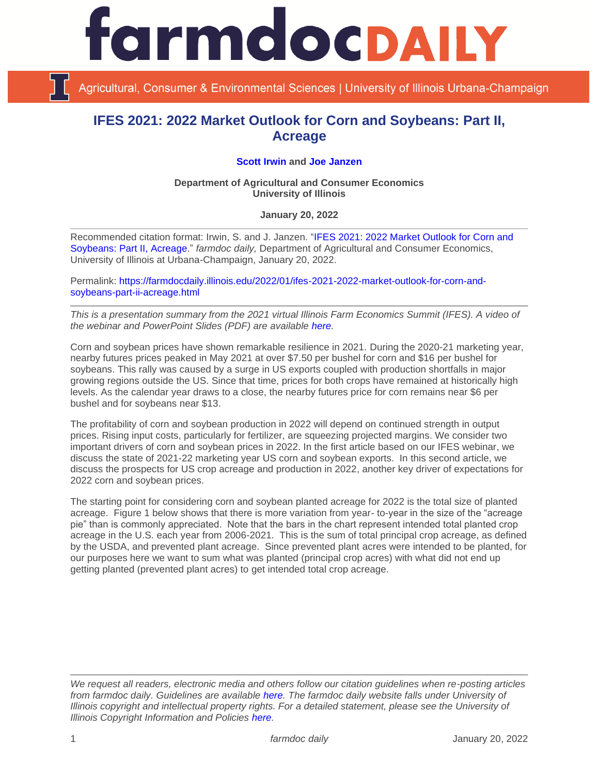

Agricultural, Consumer & Environmental Sciences | University of Illinois Urbana-Champaign

## **IFES 2021: 2022 Market Outlook for Corn and Soybeans: Part II, Acreage**

## **[Scott Irwin](http://www.farmdoc.illinois.edu/irwin/) and [Joe Janzen](https://ace.illinois.edu/directory/jjanzen)**

## **Department of Agricultural and Consumer Economics University of Illinois**

**January 20, 2022**

Recommended citation format: Irwin, S. and J. Janzen. ["IFES 2021: 2022 Market Outlook for Corn and](https://farmdocdaily.illinois.edu/2022/01/ifes-2021-2022-market-outlook-for-corn-and-soybeans-part-ii-acreage.html)  [Soybeans: Part II, Acreage.](https://farmdocdaily.illinois.edu/2022/01/ifes-2021-2022-market-outlook-for-corn-and-soybeans-part-ii-acreage.html)" *farmdoc daily,* Department of Agricultural and Consumer Economics, University of Illinois at Urbana-Champaign, January 20, 2022.

Permalink: [https://farmdocdaily.illinois.edu/2022/01/ifes-2021-2022-market-outlook-for-corn-and](https://farmdocdaily.illinois.edu/2022/01/ifes-2021-2022-market-outlook-for-corn-and-soybeans-part-ii-acreage.html)[soybeans-part-ii-acreage.html](https://farmdocdaily.illinois.edu/2022/01/ifes-2021-2022-market-outlook-for-corn-and-soybeans-part-ii-acreage.html)

*This is a presentation summary from the 2021 virtual Illinois Farm Economics Summit (IFES). A video of the webinar and PowerPoint Slides (PDF) are available [here.](https://farmdoc.illinois.edu/ifes)*

Corn and soybean prices have shown remarkable resilience in 2021. During the 2020-21 marketing year, nearby futures prices peaked in May 2021 at over \$7.50 per bushel for corn and \$16 per bushel for soybeans. This rally was caused by a surge in US exports coupled with production shortfalls in major growing regions outside the US. Since that time, prices for both crops have remained at historically high levels. As the calendar year draws to a close, the nearby futures price for corn remains near \$6 per bushel and for soybeans near \$13.

The profitability of corn and soybean production in 2022 will depend on continued strength in output prices. Rising input costs, particularly for fertilizer, are squeezing projected margins. We consider two important drivers of corn and soybean prices in 2022. In the first article based on our IFES webinar, we discuss the state of 2021-22 marketing year US corn and soybean exports. In this second article, we discuss the prospects for US crop acreage and production in 2022, another key driver of expectations for 2022 corn and soybean prices.

The starting point for considering corn and soybean planted acreage for 2022 is the total size of planted acreage. Figure 1 below shows that there is more variation from year- to-year in the size of the "acreage pie" than is commonly appreciated. Note that the bars in the chart represent intended total planted crop acreage in the U.S. each year from 2006-2021. This is the sum of total principal crop acreage, as defined by the USDA, and prevented plant acreage. Since prevented plant acres were intended to be planted, for our purposes here we want to sum what was planted (principal crop acres) with what did not end up getting planted (prevented plant acres) to get intended total crop acreage.

*We request all readers, electronic media and others follow our citation guidelines when re-posting articles from farmdoc daily. Guidelines are available [here.](http://farmdocdaily.illinois.edu/citationguide.html) The farmdoc daily website falls under University of Illinois copyright and intellectual property rights. For a detailed statement, please see the University of Illinois Copyright Information and Policies [here.](http://www.cio.illinois.edu/policies/copyright/)*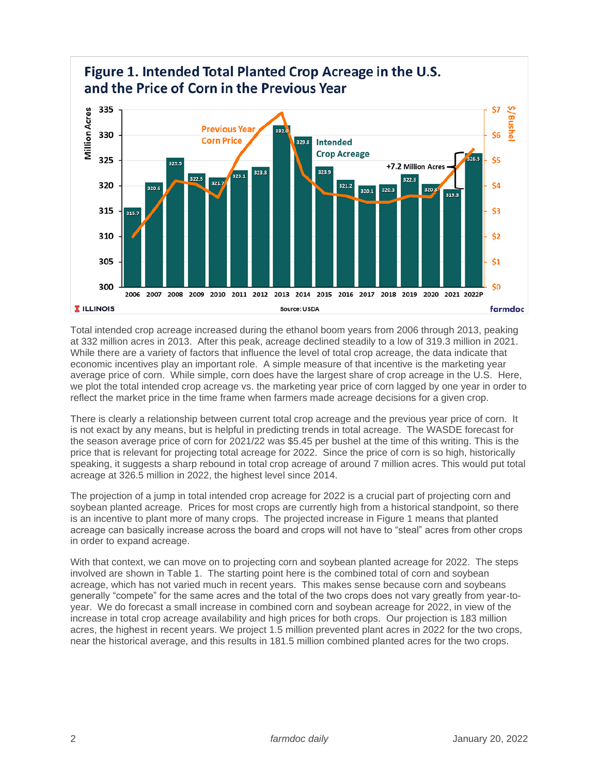

Total intended crop acreage increased during the ethanol boom years from 2006 through 2013, peaking at 332 million acres in 2013. After this peak, acreage declined steadily to a low of 319.3 million in 2021. While there are a variety of factors that influence the level of total crop acreage, the data indicate that economic incentives play an important role. A simple measure of that incentive is the marketing year average price of corn. While simple, corn does have the largest share of crop acreage in the U.S. Here, we plot the total intended crop acreage vs. the marketing year price of corn lagged by one year in order to reflect the market price in the time frame when farmers made acreage decisions for a given crop.

There is clearly a relationship between current total crop acreage and the previous year price of corn. It is not exact by any means, but is helpful in predicting trends in total acreage. The WASDE forecast for the season average price of corn for 2021/22 was \$5.45 per bushel at the time of this writing. This is the price that is relevant for projecting total acreage for 2022. Since the price of corn is so high, historically speaking, it suggests a sharp rebound in total crop acreage of around 7 million acres. This would put total acreage at 326.5 million in 2022, the highest level since 2014.

The projection of a jump in total intended crop acreage for 2022 is a crucial part of projecting corn and soybean planted acreage. Prices for most crops are currently high from a historical standpoint, so there is an incentive to plant more of many crops. The projected increase in Figure 1 means that planted acreage can basically increase across the board and crops will not have to "steal" acres from other crops in order to expand acreage.

With that context, we can move on to projecting corn and soybean planted acreage for 2022. The steps involved are shown in Table 1. The starting point here is the combined total of corn and soybean acreage, which has not varied much in recent years. This makes sense because corn and soybeans generally "compete" for the same acres and the total of the two crops does not vary greatly from year-toyear. We do forecast a small increase in combined corn and soybean acreage for 2022, in view of the increase in total crop acreage availability and high prices for both crops. Our projection is 183 million acres, the highest in recent years. We project 1.5 million prevented plant acres in 2022 for the two crops, near the historical average, and this results in 181.5 million combined planted acres for the two crops.